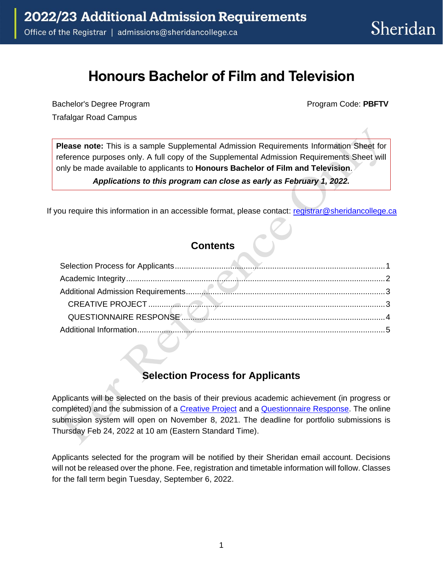# **Honours Bachelor of Film and Television**

Bachelor's Degree Program **Program Program Code: PBFTV Program Code: PBFTV** Trafalgar Road Campus

**Please note:** This is a sample Supplemental Admission Requirements Information Sheet for reference purposes only. A full copy of the Supplemental Admission Requirements Sheet will only be made available to applicants to **Honours Bachelor of Film and Television**.

*Applications to this program can close as early as February 1, 2022.* 

If you require this information in an accessible format, please contact: registrar@sheridancollege.ca

### **Contents**

### **Selection Process for Applicants**

<span id="page-0-0"></span> Applicants will be selected on the basis of their previous academic achievement (in progress or completed) and the submission of a [Creative Project](#page-2-1) and a [Questionnaire Response.](#page-3-0) The online submission system will open on November 8, 2021. The deadline for portfolio submissions is Thursday Feb 24, 2022 at 10 am (Eastern Standard Time).

 Applicants selected for the program will be notified by their Sheridan email account. Decisions will not be released over the phone. Fee, registration and timetable information will follow. Classes for the fall term begin Tuesday, September 6, 2022.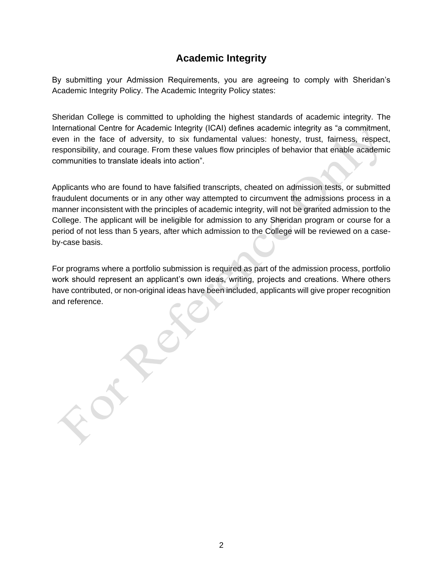# **Academic Integrity**

<span id="page-1-0"></span>By submitting your Admission Requirements, you are agreeing to comply with Sheridan's Academic Integrity Policy. The Academic Integrity Policy states:

 Sheridan College is committed to upholding the highest standards of academic integrity. The International Centre for Academic Integrity (ICAI) defines academic integrity as "a commitment, even in the face of adversity, to six fundamental values: honesty, trust, fairness, respect, responsibility, and courage. From these values flow principles of behavior that enable academic communities to translate ideals into action".

 Applicants who are found to have falsified transcripts, cheated on admission tests, or submitted fraudulent documents or in any other way attempted to circumvent the admissions process in a manner inconsistent with the principles of academic integrity, will not be granted admission to the College. The applicant will be ineligible for admission to any Sheridan program or course for a period of not less than 5 years, after which admission to the College will be reviewed on a caseby-case basis.

 For programs where a portfolio submission is required as part of the admission process, portfolio work should represent an applicant's own ideas, writing, projects and creations. Where others have contributed, or non-original ideas have been included, applicants will give proper recognition and reference.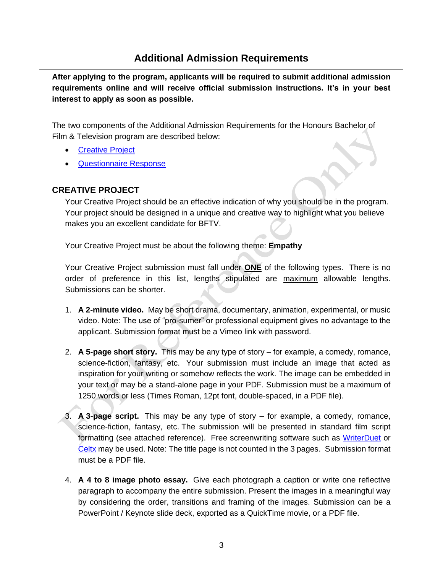## **Additional Admission Requirements**

<span id="page-2-0"></span>**After applying to the program, applicants will be required to submit additional admission requirements online and will receive official submission instructions. It's in your best interest to apply as soon as possible.** 

The two components of the Additional Admission Requirements for the Honours Bachelor of Film & Television program are described below:

- [Creative Project](#page-2-1)
- [Questionnaire Response](#page-3-0)

### <span id="page-2-1"></span>**CREATIVE PROJECT**

Your Creative Project should be an effective indication of why you should be in the program. Your project should be designed in a unique and creative way to highlight what you believe makes you an excellent candidate for BFTV.

Your Creative Project must be about the following theme: **Empathy** 

 Your Creative Project submission must fall under **ONE** of the following types. There is no order of preference in this list, lengths stipulated are <u>maximum</u> allowable lengths.<br>Submissions can be shorter.

- video. Note: The use of "pro-sumer" or professional equipment gives no advantage to the 1. **A 2-minute video.** May be short drama, documentary, animation, experimental, or music applicant. Submission format must be a Vimeo link with password.
- your text or may be a stand-alone page in your PDF. Submission must be a maximum of science-fiction, fantasy, etc. Your submission must include an image that acted as 2. **A 5-page short story.** This may be any type of story – for example, a comedy, romance, inspiration for your writing or somehow reflects the work. The image can be embedded in 1250 words or less (Times Roman, 12pt font, double-spaced, in a PDF file).
- 3. **A 3-page script.**  This may be any type of story for example, a comedy, romance, science-fiction, fantasy, etc. The submission will be presented in standard film script formatting (see attached reference). Free screenwriting software such as [WriterDuet](https://www.writerduet.com/) or [Celtx](https://www.celtx.com/index.html) may be used. Note: The title page is not counted in the 3 pages. Submission format must be a PDF file.
- 4. **A 4 to 8 image photo essay.** Give each photograph a caption or write one reflective paragraph to accompany the entire submission. Present the images in a meaningful way by considering the order, transitions and framing of the images. Submission can be a PowerPoint / Keynote slide deck, exported as a QuickTime movie, or a PDF file.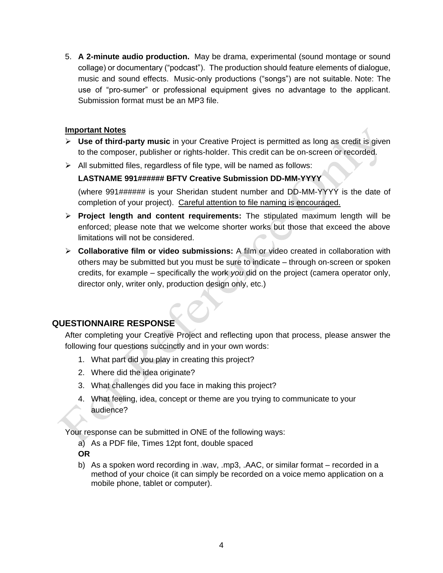music and sound effects. Music-only productions ("songs") are not suitable. Note: The use of "pro-sumer" or professional equipment gives no advantage to the applicant. 5. **A 2-minute audio production.** May be drama, experimental (sound montage or sound collage) or documentary ("podcast"). The production should feature elements of dialogue, Submission format must be an MP3 file.

#### **Important Notes**

- ➢ **Use of third-party music** in your Creative Project is permitted as long as credit is given to the composer, publisher or rights-holder. This credit can be on-screen or recorded.
- $\triangleright$  All submitted files, regardless of file type, will be named as follows:

#### **LASTNAME 991###### BFTV Creative Submission DD-MM-YYYY**

 (where 991###### is your Sheridan student number and DD-MM-YYYY is the date of completion of your project). Careful attention to file naming is encouraged.

- ➢ **Project length and content requirements:** The stipulated maximum length will be enforced; please note that we welcome shorter works but those that exceed the above limitations will not be considered. limitations will not be considered.
- ➢ **Collaborative film or video submissions:** A film or video created in collaboration with others may be submitted but you must be sure to indicate – through on-screen or spoken credits, for example – specifically the work *you* did on the project (camera operator only, director only, writer only, production design only, etc.)

### <span id="page-3-0"></span>**QUESTIONNAIRE RESPONSE**

following four questions succinctly and in your own words: After completing your Creative Project and reflecting upon that process, please answer the

- What part did you play in creating this project? 1.
- Where did the idea originate? 2.
- 3. What challenges did you face in making this project?
- audience? 4. What feeling, idea, concept or theme are you trying to communicate to your

Your response can be submitted in ONE of the following ways:

a) As a PDF file, Times 12pt font, double spaced

**OR** 

b) As a spoken word recording in .wav, .mp3, .AAC, or similar format – recorded in a method of your choice (it can simply be recorded on a voice memo application on a mobile phone, tablet or computer).